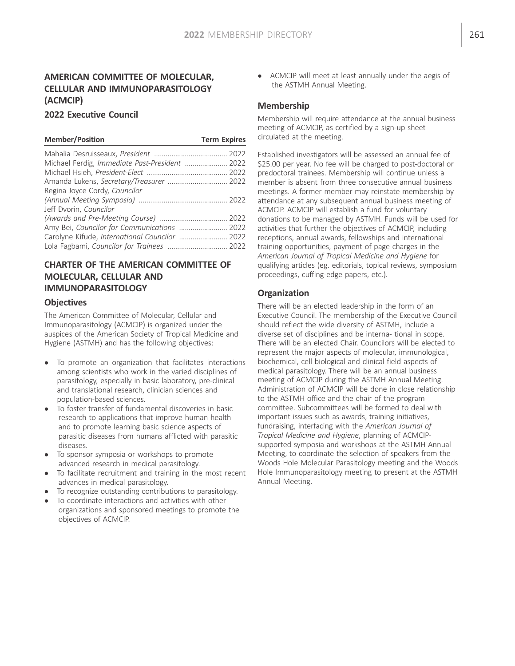# AMERICAN COMMITTEE OF MOLECULAR, CELLULAR AND IMMUNOPARASITOLOGY (ACMCIP)

#### 2022 Executive Council

#### Member/Position Term Expires

| Michael Ferdig, Immediate Past-President  2022 |
|------------------------------------------------|
|                                                |
| Amanda Lukens, Secretary/Treasurer  2022       |
|                                                |
|                                                |
|                                                |
|                                                |
|                                                |
| Carolyne Kifude, International Councilor  2022 |
| Lola Fagbami, Councilor for Trainees  2022     |
|                                                |

# CHARTER OF THE AMERICAN COMMITTEE OF MOLECULAR, CELLULAR AND IMMUNOPARASITOLOGY

#### **Objectives**

The American Committee of Molecular, Cellular and Immunoparasitology (ACMCIP) is organized under the auspices of the American Society of Tropical Medicine and Hygiene (ASTMH) and has the following objectives:

- To promote an organization that facilitates interactions among scientists who work in the varied disciplines of parasitology, especially in basic laboratory, pre-clinical and translational research, clinician sciences and population-based sciences.
- To foster transfer of fundamental discoveries in basic research to applications that improve human health and to promote learning basic science aspects of parasitic diseases from humans afflicted with parasitic diseases.
- To sponsor symposia or workshops to promote advanced research in medical parasitology.
- To facilitate recruitment and training in the most recent advances in medical parasitology.
- To recognize outstanding contributions to parasitology.
- To coordinate interactions and activities with other organizations and sponsored meetings to promote the objectives of ACMCIP.

 ACMCIP will meet at least annually under the aegis of the ASTMH Annual Meeting.

#### Membership

Membership will require attendance at the annual business meeting of ACMCIP, as certified by a sign-up sheet circulated at the meeting.

Established investigators will be assessed an annual fee of \$25.00 per year. No fee will be charged to post-doctoral or predoctoral trainees. Membership will continue unless a member is absent from three consecutive annual business meetings. A former member may reinstate membership by attendance at any subsequent annual business meeting of ACMCIP. ACMCIP will establish a fund for voluntary donations to be managed by ASTMH. Funds will be used for activities that further the objectives of ACMCIP, including receptions, annual awards, fellowships and international training opportunities, payment of page charges in the American Journal of Tropical Medicine and Hygiene for qualifying articles (eg. editorials, topical reviews, symposium proceedings, cufflng-edge papers, etc.).

#### **Organization**

There will be an elected leadership in the form of an Executive Council. The membership of the Executive Council should reflect the wide diversity of ASTMH, include a diverse set of disciplines and be interna- tional in scope. There will be an elected Chair. Councilors will be elected to represent the major aspects of molecular, immunological, biochemical, cell biological and clinical field aspects of medical parasitology. There will be an annual business meeting of ACMCIP during the ASTMH Annual Meeting. Administration of ACMCIP will be done in close relationship to the ASTMH office and the chair of the program committee. Subcommittees will be formed to deal with important issues such as awards, training initiatives, fundraising, interfacing with the American Journal of Tropical Medicine and Hygiene, planning of ACMCIPsupported symposia and workshops at the ASTMH Annual Meeting, to coordinate the selection of speakers from the Woods Hole Molecular Parasitology meeting and the Woods Hole Immunoparasitology meeting to present at the ASTMH Annual Meeting.